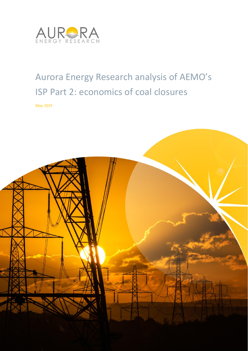

# Aurora Energy Research analysis of AEMO's ISP Part 2: economics of coal closures

May 2019

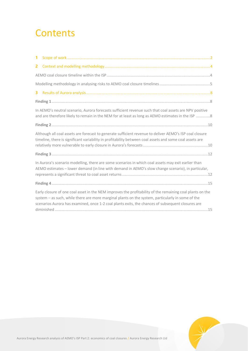# **Contents**

| In AEMO's neutral scenario, Aurora forecasts sufficient revenue such that coal assets are NPV positive<br>and are therefore likely to remain in the NEM for at least as long as AEMO estimates in the ISP 8                                                                                                         |
|---------------------------------------------------------------------------------------------------------------------------------------------------------------------------------------------------------------------------------------------------------------------------------------------------------------------|
|                                                                                                                                                                                                                                                                                                                     |
| Although all coal assets are forecast to generate sufficient revenue to deliver AEMO's ISP coal closure<br>timeline, there is significant variability in profitability between coal assets and some coal assets are                                                                                                 |
|                                                                                                                                                                                                                                                                                                                     |
| In Aurora's scenario modelling, there are some scenarios in which coal assets may exit earlier than<br>AEMO estimates - lower demand (in line with demand in AEMO's slow change scenario), in particular,                                                                                                           |
|                                                                                                                                                                                                                                                                                                                     |
| Early closure of one coal asset in the NEM improves the profitability of the remaining coal plants on the<br>system - as such, while there are more marginal plants on the system, particularly in some of the<br>scenarios Aurora has examined, once 1-2 coal plants exits, the chances of subsequent closures are |
|                                                                                                                                                                                                                                                                                                                     |

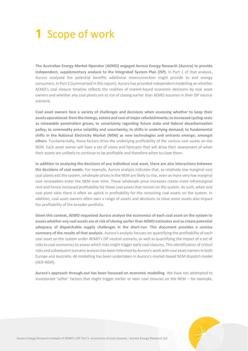# **1** Scope of work

**The Australian Energy Market Operator (AEMO) engaged Aurora Energy Research (Aurora) to provide independent, supplementary analysis to the Integrated System Plan (ISP).** In Part 1 of that analysis, Aurora analysed the potential benefits additional interconnection might provide to end energy consumers. In Part 2 (summarised in this report), Aurora has provided independent modelling on whether AEMO's coal closure timeline reflects the realities of market-based economic decisions by coal asset owners and whether any coal plants are at risk of closing earlier than AEMO assumes in their ISP neutral scenario.

**Coal asset owners face a variety of challenges and decisions when assessing whether to keep their assets operational: from the timings, extent and cost of major refurbishments; to increased cycling costs as renewable penetration grows; to uncertainty regarding future state and federal decarbonisation policy; to commodity price volatility and uncertainty; to shifts in underlying demand; to fundamental shifts in the National Electricity Market (NEM) as new technologies and entrants emerge; amongst others**. Fundamentally, these factors drive the underlying profitability of the various coal assets on the NEM. Each asset owner will have a set of views and forecasts that will drive their assessment of when their assets are unlikely to continue to be profitable and therefore when to close them.

**In addition to analysing the decisions of any individual coal asset, there are also interactions between the decisions of coal assets**. For example, Aurora analysis indicates that, as relatively low marginal cost coal plants exit the system, wholesale prices in the NEM are likely to rise, even as more very low marginal cost renewables enter the NEM over time. These wholesale price increases create more inframarginal rent and hence increased profitability for those coal assets that remain on the system. As such, when one coal plant exits there is often an uptick in profitability for the remaining coal assets on the system. In addition, coal asset owners often own a range of assets and decisions to close some assets also impact the profitability of the broader portfolio.

**Given this context, AEMO requested Aurora analyse the economics of each coal asset on the system to assess whether any coal assets are at risk of closing earlier than AEMO estimates and so create potential adequacy of dispatchable supply challenges in the short-run**. **This document provides a concise summary of the results of that analysis.** Aurora's analysis focuses on quantifying the profitability of each coal asset on the system under AEMO's ISP neutral scenario, as well as quantifying the impact of a set of risks to coal economics to assess which risks might trigger early coal closures. This identification of critical risks and subsequent scenario analysis has been informed by Aurora's work with coal asset owners in both Europe and Australia. All modelling has been undertaken in Aurora's market-based NEM dispatch model (AER-NEM).

**Aurora's approach through-out has been focussed on economic modelling**. We have not attempted to incorporate 'softer' factors that might trigger earlier or later coal closures on the NEM – for example,

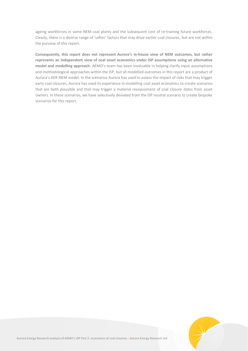ageing workforces in some NEM coal plants and the subsequent cost of re-training future workforces. Clearly, there is a diverse range of 'softer' factors that may drive earlier coal closures, but are not within the purview of this report.

**Consequently, this report does not represent Aurora's in-house view of NEM outcomes, but rather represents an independent view of coal asset economics under ISP assumptions using an alternative model and modelling approach.** AEMO's team has been invaluable in helping clarify input assumptions and methodological approaches within the ISP, but all modelled outcomes in this report are a product of Aurora's AER-NEM model. In the scenarios Aurora has used to assess the impact of risks that may trigger early coal closures, Aurora has used its experience in modelling coal asset economics to create scenarios that are both plausible and that may trigger a material reassessment of coal closure dates from asset owners. In these scenarios, we have selectively deviated from the ISP neutral scenario to create bespoke scenarios for this report.

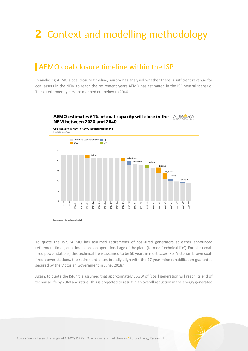# **2** Context and modelling methodology

# AEMO coal closure timeline within the ISP

In analysing AEMO's coal closure timeline, Aurora has analysed whether there is sufficient revenue for coal assets in the NEM to reach the retirement years AEMO has estimated in the ISP neutral scenario. These retirement years are mapped out below to 2040.

### **AEMO estimates 61% of coal capacity will close in the NEM between 2020 and 2040**



To quote the ISP, 'AEMO has assumed retirements of coal-fired generators at either announced retirement times, or a time based on operational age of the plant (termed 'technical life'). For black coalfired power stations, this technical life is assumed to be 50 years in most cases. For Victorian brown coalfired power stations, the retirement dates broadly align with the 17-year mine rehabilitation guarantee secured by the Victorian Government in June, 2018.'

Again, to quote the ISP, 'It is assumed that approximately 15GW of [coal] generation will reach its end of technical life by 2040 and retire. This is projected to result in an overall reduction in the energy generated

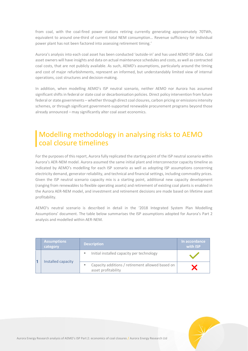from coal, with the coal-fired power stations retiring currently generating approximately 70TWh, equivalent to around one-third of current total NEM consumption… Revenue sufficiency for individual power plant has not been factored into assessing retirement timing.'

Aurora's analysis into each coal asset has been conducted 'outside-in' and has used AEMO ISP data. Coal asset owners will have insights and data on actual maintenance schedules and costs, as well as contracted coal costs, that are not publicly available. As such, AEMO's assumptions, particularly around the timing and cost of major refurbishments, represent an informed, but understandably limited view of internal operations, cost structures and decision-making.

In addition, when modelling AEMO's ISP neutral scenario, neither AEMO nor Aurora has assumed significant shifts in federal or state coal or decarbonisation policies. Direct policy intervention from future federal or state governments – whether through direct coal closures, carbon pricing or emissions intensity schemes, or through significant government-supported renewable procurement programs beyond those already announced – may significantly alter coal asset economics.

# Modelling methodology in analysing risks to AEMO coal closure timelines

For the purposes of this report, Aurora fully replicated the starting point of the ISP neutral scenario within Aurora's AER-NEM model. Aurora assumed the same initial plant and interconnector capacity timeline as indicated by AEMO's modelling for each ISP scenario as well as adopting ISP assumptions concerning electricity demand, generator reliability, and technical and financial settings, including commodity prices. Given the ISP neutral scenario capacity mix is a starting point, additional new capacity development (ranging from renewables to flexible operating assets) and retirement of existing coal plants is enabled in the Aurora AER-NEM model, and investment and retirement decisions are made based on lifetime asset profitability.

AEMO's neutral scenario is described in detail in the '2018 Integrated System Plan Modelling Assumptions' document. The table below summarises the ISP assumptions adopted for Aurora's Part 2 analysis and modelled within AER-NEM.

| <b>Assumptions</b><br>category | <b>Description</b>                                                      | In accordance<br>with <b>ISP</b> |
|--------------------------------|-------------------------------------------------------------------------|----------------------------------|
| ш<br>Installed capacity<br>٠   | Initial installed capacity per technology                               |                                  |
|                                | Capacity additions / retirement allowed based on<br>asset profitability |                                  |

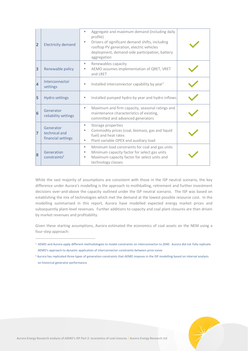| 2 | <b>Electricity demand</b>                        | Aggregate and maximum demand (including daily<br>ш<br>profile)<br>Drivers of significant demand shifts, including<br>ш<br>rooftop PV generation, electric vehicles<br>deployment, demand-side participation, battery<br>aggregation |  |
|---|--------------------------------------------------|-------------------------------------------------------------------------------------------------------------------------------------------------------------------------------------------------------------------------------------|--|
| 3 | Renewable policy                                 | Renewables capacity<br>ш<br>AEMO assumes implementation of QRET, VRET<br>ш<br>and LRET                                                                                                                                              |  |
| 4 | Interconnector<br>settings                       | Installed interconnector capability by year <sup>1</sup><br>ш                                                                                                                                                                       |  |
| 5 | <b>Hydro settings</b>                            | Installed pumped hydro by year and hydro inflows<br>ш                                                                                                                                                                               |  |
| 6 | Generator<br>reliability settings                | Maximum and firm capacity, seasonal ratings and<br>ш<br>maintenance characteristics of existing,<br>committed and advanced generators                                                                                               |  |
| 7 | Generator<br>technical and<br>financial settings | Storage properties<br>ш<br>Commodity prices (coal, biomass, gas and liquid<br>٠<br>fuel) and heat rates<br>Plant variable OPEX and auxiliary load<br>ш                                                                              |  |
| 8 | Generation<br>constraints <sup>2</sup>           | Minimum load constraints for coal and gas units<br>ш<br>Minimum capacity factor for select gas units<br>ш<br>Maximum capacity factor for select units and<br>ш<br>technology classes                                                |  |

While the vast majority of assumptions are consistent with those in the ISP neutral scenario, the key difference under Aurora's modelling is the approach to mothballing, retirement and further investment decisions over-and-above the capacity outlined under the ISP neutral scenario. The ISP was based on establishing the mix of technologies which met the demand at the lowest possible resource cost. In the modelling summarised in this report, Aurora have modelled expected energy market prices and subsequently plant-level revenues. Further additions to capacity and coal plant closures are then driven by market revenues and profitability.

Given these starting assumptions, Aurora estimated the economics of coal assets on the NEM using a four-step approach:

 $\overline{a}$ 

<sup>&</sup>lt;sup>1</sup> AEMO and Aurora apply different methodologies to model constraints on interconnector to 2040. Aurora did not fully replicate AEMO's approach to dynamic application of interconnector constraints between price zones

<sup>2</sup> Aurora has replicated three types of generation constraints that AEMO imposes in the ISP modelling based on internal analysis on historical generator performance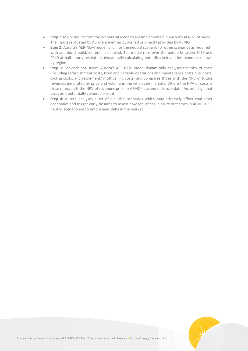- **Step 1:** Major inputs from the ISP neutral scenario are implemented in Aurora's AER-NEM model. The inputs replicated by Aurora are either published or directly provided by AEMO
- **Step 2:** Aurora's AER-NEM model is run for the neutral scenario (or other scenarios as required), with additional build/retirement enabled. The model runs over the period between 2019 and 2040 at half-hourly resolution, dynamically calculating both dispatch and interconnector flows by region
- **Step 3:** For each coal asset, Aurora's AER-NEM model dynamically analyses the NPV of costs (including refurbishment costs, fixed and variable operations and maintenance costs, fuel costs, cycling costs, and retirement/ mothballing costs) and compares those with the NPV of future revenues generated by price and volume in the wholesale markets. Where the NPV of costs is close or exceeds the NPV of revenues prior to AEMO's assumed closure date, Aurora flags that asset as a potentially vulnerable plant
- **Step 4:** Aurora analyses a set of plausible scenarios which may adversely affect coal asset economics and trigger early closures to assess how robust coal closure outcomes in AEMO's ISP neutral scenario are to unforeseen shifts in the market

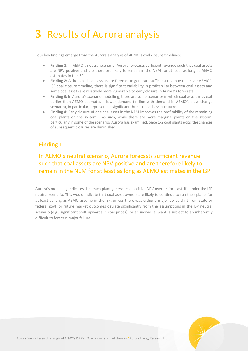# **3** Results of Aurora analysis

Four key findings emerge from the Aurora's analysis of AEMO's coal closure timelines:

- **Finding 1:** In AEMO's neutral scenario, Aurora forecasts sufficient revenue such that coal assets are NPV positive and are therefore likely to remain in the NEM for at least as long as AEMO estimates in the ISP
- **Finding 2:** Although all coal assets are forecast to generate sufficient revenue to deliver AEMO's ISP coal closure timeline, there is significant variability in profitability between coal assets and some coal assets are relatively more vulnerable to early closure in Aurora's forecasts
- **Finding 3:** In Aurora's scenario modelling, there are some scenarios in which coal assets may exit earlier than AEMO estimates – lower demand (in line with demand in AEMO's slow change scenario), in particular, represents a significant threat to coal asset returns
- **Finding 4:** Early closure of one coal asset in the NEM improves the profitability of the remaining coal plants on the system – as such, while there are more marginal plants on the system, particularly in some of the scenarios Aurora has examined, once 1-2 coal plants exits, the chances of subsequent closures are diminished

## **Finding 1**

## In AEMO's neutral scenario, Aurora forecasts sufficient revenue such that coal assets are NPV positive and are therefore likely to remain in the NEM for at least as long as AEMO estimates in the ISP

Aurora's modelling indicates that each plant generates a positive NPV over its forecast life under the ISP neutral scenario. This would indicate that coal asset owners are likely to continue to run their plants for at least as long as AEMO assume in the ISP, unless there was either a major policy shift from state or federal govt, or future market outcomes deviate significantly from the assumptions in the ISP neutral scenario (e.g., significant shift upwards in coal prices), or an individual plant is subject to an inherently difficult to forecast major failure.

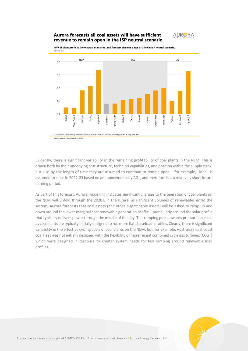### **Aurora forecasts all coal assets will have sufficient revenue to remain open in the ISP neutral scenario**

rces: Aurora Energy Research, AEMO

Billion \$A



3.0 1.5  $0.0$  $\overline{4}$ .5 6.0 Mt Piper Kogan Creek Gladstone ales Point B Liddell Eraring Bayswater Tarong North Callide B Tarong stanwel Callide o Millmerran Yallourn Loy Yang B Loy Yang A NSW 1) Gladstone's NPV is a range estimated based on market-based dispatch and assumed prices for its long-term PPA QLD VIC

**NPV of plant profit to 2040 across scenarios until forecast closures dates or 2040 in ISP neutral scenario,**

Evidently, there is significant variability in the remaining profitability of coal plants in the NEM. This is driven both by their underlying cost structure, technical capabilities, and position within the supply stack, but also by the length of time they are assumed to continue to remain open – for example, Liddell is assumed to close in 2022-23 based on announcements by AGL, and therefore has a relatively short future earning period.

As part of this forecast, Aurora modelling indicates significant changes to the operation of coal plants on the NEM will unfold through the 2020s. In the future, as significant volumes of renewables enter the system, Aurora forecasts that coal assets (and other dispatchable assets) will be asked to ramp up and down around the lower marginal cost renewable generation profile – particularly around the solar profile that typically delivers power through the middle of the day. This ramping puts upwards pressure on costs as coal plants are typically initially designed to runmore flat, 'baseload' profiles. Clearly, there is significant variability in the effective cycling costs of coal plants on the NEM, but, for example, Australia's east coast coal fleet was not initially designed with the flexibility of more recent combined cycle gas turbines (CCGT) which were designed in response to greater system needs for fast ramping around renewable load profiles.

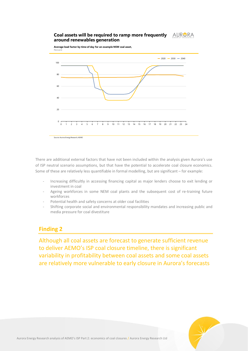#### **Coal assets will be required to ramp more frequently**  AURORA **around renewables generation**

**Average load factor by time of day for an example NSW coal asset,**



There are additional external factors that have not been included within the analysis given Aurora's use of ISP neutral scenario assumptions, but that have the potential to accelerate coal closure economics. Some of these are relatively less quantifiable in formal modelling, but are significant – for example:

- Increasing difficultly in accessing financing capital as major lenders choose to exit lending or investment in coal
- Ageing workforces in some NEM coal plants and the subsequent cost of re-training future workforces
- Potential health and safety concerns at older coal facilities
- Shifting corporate social and environmental responsibility mandates and increasing public and media pressure for coal divestiture

## **Finding 2**

Although all coal assets are forecast to generate sufficient revenue to deliver AEMO's ISP coal closure timeline, there is significant variability in profitability between coal assets and some coal assets are relatively more vulnerable to early closure in Aurora's forecasts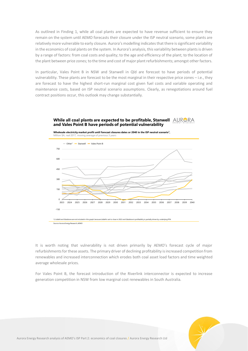As outlined in Finding 1, while all coal plants are expected to have revenue sufficient to ensure they remain on the system until AEMO forecasts their closure under the ISP neutral scenario, some plants are relatively more vulnerable to early closure. Aurora's modelling indicates that there is significant variability in the economics of coal plants on the system. In Aurora's analysis, this variability between plants is driven by a range of factors: from coal costs and quality; to the age and efficiency of the plant; to the location of the plant between price zones; to the time and cost of major plant refurbishments; amongst other factors.

In particular, Vales Point B in NSW and Stanwell in Qld are forecast to have periods of potential vulnerability. These plants are forecast to be the most marginal in their respective price zones – i.e., they are forecast to have the highest short-run marginal cost given fuel costs and variable operating and maintenance costs, based on ISP neutral scenario assumptions. Clearly, as renegotiations around fuel contract positions occur, this outlook may change substantially.





It is worth noting that vulnerability is not driven primarily by AEMO's forecast cycle of major refurbishments for these assets. The primary driver of declining profitability is increased competition from renewables and increased interconnection which erodes both coal asset load factors and time weighted average wholesale prices.

For Vales Point B, the forecast introduction of the Riverlink interconnector is expected to increase generation competition in NSW from low marginal cost renewables in South Australia.

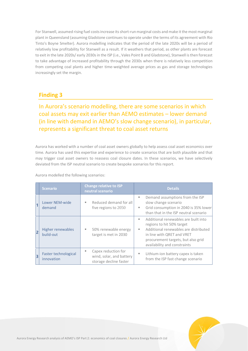For Stanwell, assumed rising fuel costs increase its short-run marginal costs and make it the most marginal plant in Queensland (assuming Gladstone continues to operate under the terms of its agreement with Rio Tinto's Boyne Smelter). Aurora modelling indicates that the period of the late 2020s will be a period of relatively low profitability for Stanwell as a result. If it weathers that period, as other plants are forecast to exit in the late 2020s/ early 2030s in the ISP (i.e., Vales Point B and Gladstone), Stanwell is then forecast to take advantage of increased profitability through the 2030s when there is relatively less competition from competing coal plants and higher time-weighted average prices as gas and storage technologies increasingly set the margin.

## **Finding 3**

In Aurora's scenario modelling, there are some scenarios in which coal assets may exit earlier than AEMO estimates – lower demand (in line with demand in AEMO's slow change scenario), in particular, represents a significant threat to coal asset returns

Aurora has worked with a number of coal asset owners globally to help assess coal asset economics over time. Aurora has used this expertise and experience to create scenarios that are both plausible and that may trigger coal asset owners to reassess coal closure dates. In these scenarios, we have selectively deviated from the ISP neutral scenario to create bespoke scenarios for this report.

Aurora modelled the following scenarios:

|   | <b>Scenario</b>                       | <b>Change relative to ISP</b><br>neutral scenario                              | <b>Details</b>                                                                                                                                                                                                           |  |
|---|---------------------------------------|--------------------------------------------------------------------------------|--------------------------------------------------------------------------------------------------------------------------------------------------------------------------------------------------------------------------|--|
|   | Lower NEM-wide<br>demand              | Reduced demand for all<br>٠<br>five regions to 2050                            | Demand assumptions from the ISP<br>ш<br>slow change scenario<br>Grid consumption in 2040 is 35% lower<br>٠<br>than that in the ISP neutral scenario                                                                      |  |
| 2 | <b>Higher renewables</b><br>build-out | 50% renewable energy<br>target is met in 2030                                  | Additional renewables are built into<br>٠<br>regions to hit 50% target<br>Additional renewables are distributed<br>٠<br>in line with QRET and VRET<br>procurement targets, but also grid<br>availability and constraints |  |
| 3 | Faster technological<br>innovation    | Capex reduction for<br>ш<br>wind, solar, and battery<br>storage decline faster | Lithium-ion battery capex is taken<br>٠<br>from the ISP fast change scenario                                                                                                                                             |  |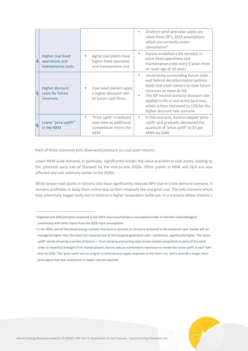|           |                                                          |   |                                                                                              | ٠        | Onshore wind and solar capex are<br>taken from ISP's 2019 assumptions<br>which are currently under<br>consultation <sup>3</sup>                                                                                                                                                                                   |
|-----------|----------------------------------------------------------|---|----------------------------------------------------------------------------------------------|----------|-------------------------------------------------------------------------------------------------------------------------------------------------------------------------------------------------------------------------------------------------------------------------------------------------------------------|
| $\vert$ 4 | Higher coal fixed<br>operations and<br>maintenance costs | ш | Aging coal plants have<br>higher fixed operation<br>and maintenance cost                     | н.       | Aurora modelled a 6% increase in<br>plant fixed operations and<br>maintenance costs every 5 years from<br>an asset age of 30 years                                                                                                                                                                                |
| 5         | Higher discount<br>rates for future<br>revenues          | ٠ | Coal asset owners apply<br>a higher discount rate<br>to future cash flows                    | ш.<br>ш. | Uncertainty surrounding future state<br>and federal decarbonisation policies<br>leads coal asset owners to view future<br>revenues as more at risk<br>The ISP neutral scenario discount rate<br>applied is 6% in real terms (pre-tax),<br>which is then increased to 11% for the<br>higher discount rate scenario |
| 6         | Lower 'price uplift <sup>4'</sup><br>in the NEM          | ш | 'Price uplift' is reduced<br>over time as additional<br>competition enters the<br><b>NEM</b> | ш        | In this scenario, Aurora capped 'price<br>uplift' and gradually decreased the<br>quantum of 'price uplift' to \$5 per<br>MWh by 2040                                                                                                                                                                              |

Each of these scenarios puts downward pressure on coal asset returns.

 $\overline{a}$ 

Lower NEM-wide demand, in particular, significantly erodes the value available to coal assets, leading to the potential early exit of Stanwell by the mid-to-late 2020s. Other plants in NSW and QLD are also affected and exit relatively earlier in the 2030s.

While brown coal plants in Victoria also have significantly reduced NPV due in a low demand scenario, it remains profitable to keep them online due to their relatively low marginal cost. The only scenario which may potentially trigger early exit in Victoria is higher renewables build-out. In a scenario where Victoria's



<sup>&</sup>lt;sup>3</sup> Regional cost differentiation proposed in the 2019 input assumptions is not implemented, to maintain methodological consistency with other inputs from the 2018 input assumptions

<sup>4</sup> In the NEM, and all liberalized energy markets that Aurora operates in, the price delivered in the wholesale spot market will on average be higher than the short-run marginal cost of the marginal generation unit – sometimes, significantly higher. This 'price uplift' can be driven by a variety of factors — from ramping and cycling costs to low market competition in parts of the merit order to imperfect foresight from market players. Aurora uses an econometric regression to model this 'price uplift' in each halfhour to 2040. This 'price uplift' acts as a signal to demand and supply responses in the short-run, and to provide a longer-term price signal that new investment in supply may be required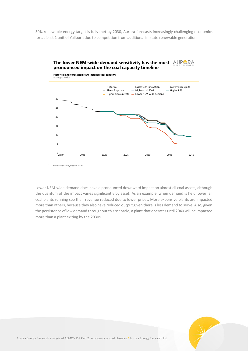50% renewable energy target is fully met by 2030, Aurora forecasts increasingly challenging economics for at least 1 unit of Yallourn due to competition from additional in-state renewable generation.





Lower NEM-wide demand does have a pronounced downward impact on almost all coal assets, although the quantum of the impact varies significantly by asset. As an example, when demand is held lower, all coal plants running see their revenue reduced due to lower prices. More expensive plants are impacted more than others, because they also have reduced output given there is less demand to serve. Also, given the persistence of low demand throughout this scenario, a plant that operates until 2040 will be impacted more than a plant exiting by the 2030s.

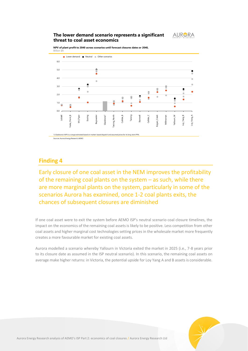### **The lower demand scenario represents a significant threat to coal asset economics**



**NPV of plant profit to 2040 across scenarios until forecast closures dates or 2040,**



## **Finding 4**

Early closure of one coal asset in the NEM improves the profitability of the remaining coal plants on the system – as such, while there are more marginal plants on the system, particularly in some of the scenarios Aurora has examined, once 1-2 coal plants exits, the chances of subsequent closures are diminished

If one coal asset were to exit the system before AEMO ISP's neutral scenario coal closure timelines, the impact on the economics of the remaining coal assets is likely to be positive. Less competition from other coal assets and higher marginal cost technologies setting prices in the wholesale market more frequently creates a more favourable market for existing coal assets.

Aurora modelled a scenario whereby Yallourn in Victoria exited the market in 2025 (i.e., 7-8 years prior to its closure date as assumed in the ISP neutral scenario). In this scenario, the remaining coal assets on average make higher returns: in Victoria, the potential upside for Loy Yang A and B assets is considerable.

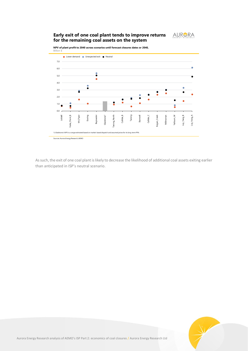### **Early exit of one coal plant tends to improve returns for the remaining coal assets on the system**



**NPV of plant profit to 2040 across scenarios until forecast closures dates or 2040,**



As such, the exit of one coal plant is likely to decrease the likelihood of additional coal assets exiting earlier than anticipated in ISP's neutral scenario.